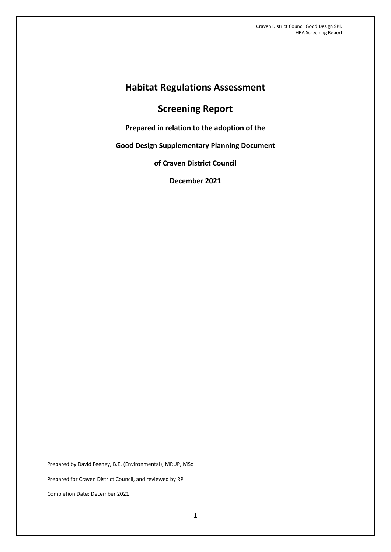# **Habitat Regulations Assessment**

# **Screening Report**

**Prepared in relation to the adoption of the** 

**Good Design Supplementary Planning Document**

**of Craven District Council**

**December 2021**

Prepared by David Feeney, B.E. (Environmental), MRUP, MSc Prepared for Craven District Council, and reviewed by RP Completion Date: December 2021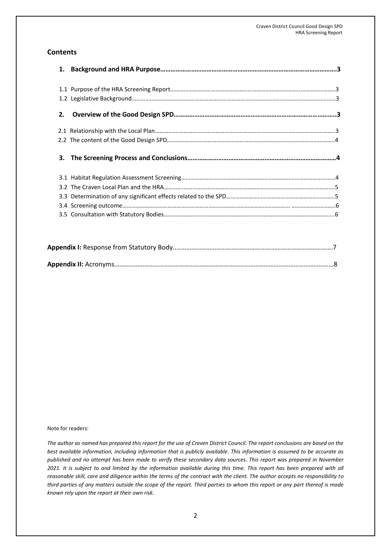### **Contents**

| 2. |  |
|----|--|
|    |  |
|    |  |
|    |  |
|    |  |
|    |  |
|    |  |
|    |  |
|    |  |
|    |  |
|    |  |

#### Note for readers:

*The author as named has prepared this report for the use of Craven District Council. The report conclusions are based on the best available information, including information that is publicly available. This information is assumed to be accurate as published and no attempt has been made to verify these secondary data sources. This report was prepared in November 2021. It is subject to and limited by the information available during this time. This report has been prepared with all reasonable skill, care and diligence within the terms of the contract with the client. The author accepts no responsibility to third parties of any matters outside the scope of the report. Third parties to whom this report or any part thereof is made known rely upon the report at their own risk.*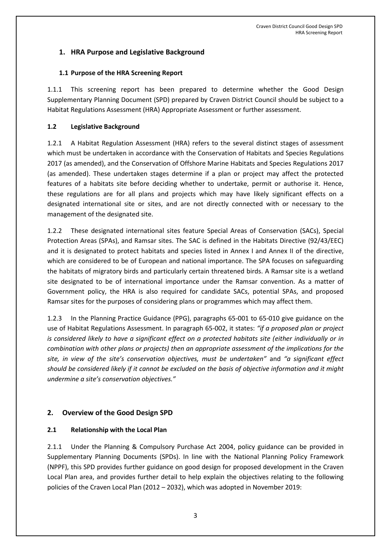## **1. HRA Purpose and Legislative Background**

#### **1.1 Purpose of the HRA Screening Report**

1.1.1 This screening report has been prepared to determine whether the Good Design Supplementary Planning Document (SPD) prepared by Craven District Council should be subject to a Habitat Regulations Assessment (HRA) Appropriate Assessment or further assessment.

#### **1.2 Legislative Background**

1.2.1 A Habitat Regulation Assessment (HRA) refers to the several distinct stages of assessment which must be undertaken in accordance with the Conservation of Habitats and Species Regulations 2017 (as amended), and the Conservation of Offshore Marine Habitats and Species Regulations 2017 (as amended). These undertaken stages determine if a plan or project may affect the protected features of a habitats site before deciding whether to undertake, permit or authorise it. Hence, these regulations are for all plans and projects which may have likely significant effects on a designated international site or sites, and are not directly connected with or necessary to the management of the designated site.

1.2.2 These designated international sites feature Special Areas of Conservation (SACs), Special Protection Areas (SPAs), and Ramsar sites. The SAC is defined in the Habitats Directive (92/43/EEC) and it is designated to protect habitats and species listed in Annex I and Annex II of the directive, which are considered to be of European and national importance. The SPA focuses on safeguarding the habitats of migratory birds and particularly certain threatened birds. A Ramsar site is a wetland site designated to be of international importance under the Ramsar convention. As a matter of Government policy, the HRA is also required for candidate SACs, potential SPAs, and proposed Ramsar sites for the purposes of considering plans or programmes which may affect them.

1.2.3 In the Planning Practice Guidance (PPG), paragraphs 65-001 to 65-010 give guidance on the use of Habitat Regulations Assessment. In paragraph 65-002, it states: *"if a proposed plan or project is considered likely to have a significant effect on a protected habitats site (either individually or in combination with other plans or projects) then an appropriate assessment of the implications for the site, in view of the site's conservation objectives, must be undertaken"* and *"a significant effect should be considered likely if it cannot be excluded on the basis of objective information and it might undermine a site's conservation objectives."*

## **2. Overview of the Good Design SPD**

### **2.1 Relationship with the Local Plan**

2.1.1 Under the Planning & Compulsory Purchase Act 2004, policy guidance can be provided in Supplementary Planning Documents (SPDs). In line with the National Planning Policy Framework (NPPF), this SPD provides further guidance on good design for proposed development in the Craven Local Plan area, and provides further detail to help explain the objectives relating to the following policies of the Craven Local Plan (2012 – 2032), which was adopted in November 2019: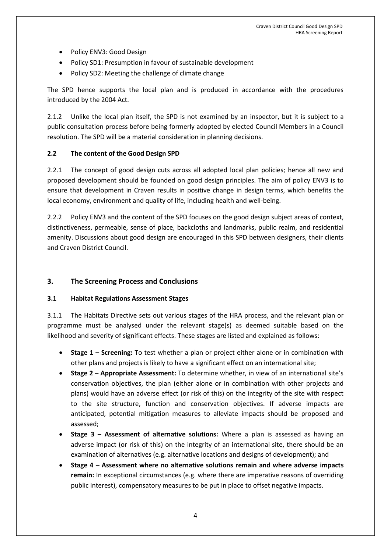- Policy ENV3: Good Design
- Policy SD1: Presumption in favour of sustainable development
- Policy SD2: Meeting the challenge of climate change

The SPD hence supports the local plan and is produced in accordance with the procedures introduced by the 2004 Act.

2.1.2 Unlike the local plan itself, the SPD is not examined by an inspector, but it is subject to a public consultation process before being formerly adopted by elected Council Members in a Council resolution. The SPD will be a material consideration in planning decisions.

#### **2.2 The content of the Good Design SPD**

2.2.1 The concept of good design cuts across all adopted local plan policies; hence all new and proposed development should be founded on good design principles. The aim of policy ENV3 is to ensure that development in Craven results in positive change in design terms, which benefits the local economy, environment and quality of life, including health and well-being.

2.2.2 Policy ENV3 and the content of the SPD focuses on the good design subject areas of context, distinctiveness, permeable, sense of place, backcloths and landmarks, public realm, and residential amenity. Discussions about good design are encouraged in this SPD between designers, their clients and Craven District Council.

### **3. The Screening Process and Conclusions**

#### **3.1 Habitat Regulations Assessment Stages**

3.1.1 The Habitats Directive sets out various stages of the HRA process, and the relevant plan or programme must be analysed under the relevant stage(s) as deemed suitable based on the likelihood and severity of significant effects. These stages are listed and explained as follows:

- **Stage 1 – Screening:** To test whether a plan or project either alone or in combination with other plans and projects is likely to have a significant effect on an international site;
- **Stage 2 – Appropriate Assessment:** To determine whether, in view of an international site's conservation objectives, the plan (either alone or in combination with other projects and plans) would have an adverse effect (or risk of this) on the integrity of the site with respect to the site structure, function and conservation objectives. If adverse impacts are anticipated, potential mitigation measures to alleviate impacts should be proposed and assessed;
- **Stage 3 – Assessment of alternative solutions:** Where a plan is assessed as having an adverse impact (or risk of this) on the integrity of an international site, there should be an examination of alternatives (e.g. alternative locations and designs of development); and
- **Stage 4 – Assessment where no alternative solutions remain and where adverse impacts remain:** In exceptional circumstances (e.g. where there are imperative reasons of overriding public interest), compensatory measures to be put in place to offset negative impacts.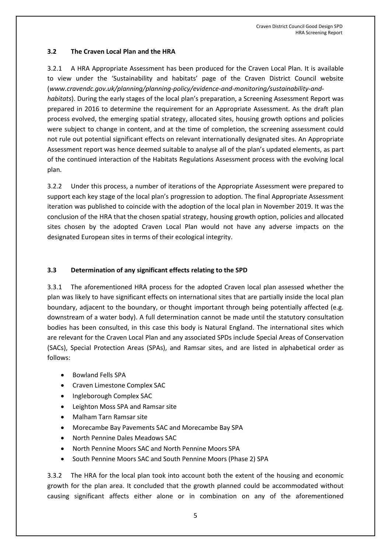#### **3.2 The Craven Local Plan and the HRA**

3.2.1 A HRA Appropriate Assessment has been produced for the Craven Local Plan. It is available to view under the 'Sustainability and habitats' page of the Craven District Council website (*www.cravendc.gov.uk/planning/planning-policy/evidence-and-monitoring/sustainability-andhabitats*). During the early stages of the local plan's preparation, a Screening Assessment Report was prepared in 2016 to determine the requirement for an Appropriate Assessment. As the draft plan process evolved, the emerging spatial strategy, allocated sites, housing growth options and policies were subject to change in content, and at the time of completion, the screening assessment could not rule out potential significant effects on relevant internationally designated sites. An Appropriate Assessment report was hence deemed suitable to analyse all of the plan's updated elements, as part of the continued interaction of the Habitats Regulations Assessment process with the evolving local plan.

3.2.2 Under this process, a number of iterations of the Appropriate Assessment were prepared to support each key stage of the local plan's progression to adoption. The final Appropriate Assessment iteration was published to coincide with the adoption of the local plan in November 2019. It was the conclusion of the HRA that the chosen spatial strategy, housing growth option, policies and allocated sites chosen by the adopted Craven Local Plan would not have any adverse impacts on the designated European sites in terms of their ecological integrity.

### **3.3 Determination of any significant effects relating to the SPD**

3.3.1 The aforementioned HRA process for the adopted Craven local plan assessed whether the plan was likely to have significant effects on international sites that are partially inside the local plan boundary, adjacent to the boundary, or thought important through being potentially affected (e.g. downstream of a water body). A full determination cannot be made until the statutory consultation bodies has been consulted, in this case this body is Natural England. The international sites which are relevant for the Craven Local Plan and any associated SPDs include Special Areas of Conservation (SACs), Special Protection Areas (SPAs), and Ramsar sites, and are listed in alphabetical order as follows:

- Bowland Fells SPA
- Craven Limestone Complex SAC
- Ingleborough Complex SAC
- Leighton Moss SPA and Ramsar site
- Malham Tarn Ramsar site
- Morecambe Bay Pavements SAC and Morecambe Bay SPA
- North Pennine Dales Meadows SAC
- North Pennine Moors SAC and North Pennine Moors SPA
- South Pennine Moors SAC and South Pennine Moors (Phase 2) SPA

3.3.2 The HRA for the local plan took into account both the extent of the housing and economic growth for the plan area. It concluded that the growth planned could be accommodated without causing significant affects either alone or in combination on any of the aforementioned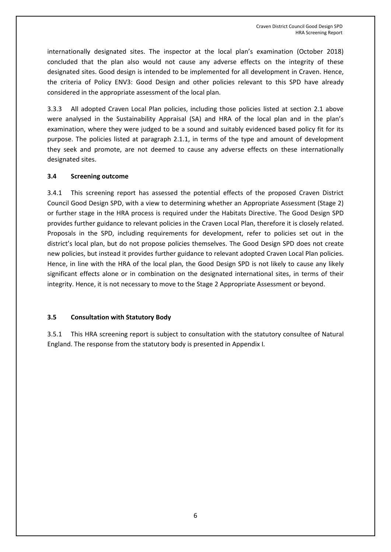internationally designated sites. The inspector at the local plan's examination (October 2018) concluded that the plan also would not cause any adverse effects on the integrity of these designated sites. Good design is intended to be implemented for all development in Craven. Hence, the criteria of Policy ENV3: Good Design and other policies relevant to this SPD have already considered in the appropriate assessment of the local plan.

3.3.3 All adopted Craven Local Plan policies, including those policies listed at section 2.1 above were analysed in the Sustainability Appraisal (SA) and HRA of the local plan and in the plan's examination, where they were judged to be a sound and suitably evidenced based policy fit for its purpose. The policies listed at paragraph 2.1.1, in terms of the type and amount of development they seek and promote, are not deemed to cause any adverse effects on these internationally designated sites.

#### **3.4 Screening outcome**

3.4.1 This screening report has assessed the potential effects of the proposed Craven District Council Good Design SPD, with a view to determining whether an Appropriate Assessment (Stage 2) or further stage in the HRA process is required under the Habitats Directive. The Good Design SPD provides further guidance to relevant policies in the Craven Local Plan, therefore it is closely related. Proposals in the SPD, including requirements for development, refer to policies set out in the district's local plan, but do not propose policies themselves. The Good Design SPD does not create new policies, but instead it provides further guidance to relevant adopted Craven Local Plan policies. Hence, in line with the HRA of the local plan, the Good Design SPD is not likely to cause any likely significant effects alone or in combination on the designated international sites, in terms of their integrity. Hence, it is not necessary to move to the Stage 2 Appropriate Assessment or beyond.

#### **3.5 Consultation with Statutory Body**

3.5.1 This HRA screening report is subject to consultation with the statutory consultee of Natural England. The response from the statutory body is presented in Appendix I*.*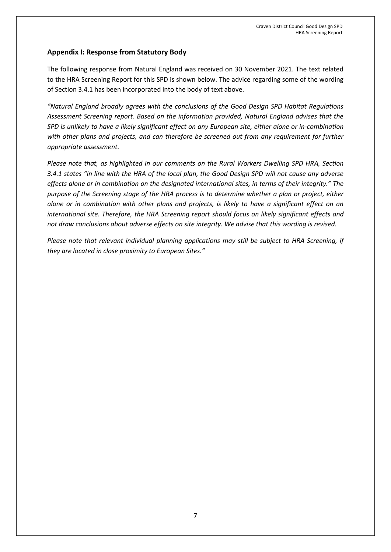## **Appendix I: Response from Statutory Body**

The following response from Natural England was received on 30 November 2021. The text related to the HRA Screening Report for this SPD is shown below. The advice regarding some of the wording of Section 3.4.1 has been incorporated into the body of text above.

*"Natural England broadly agrees with the conclusions of the Good Design SPD Habitat Regulations Assessment Screening report. Based on the information provided, Natural England advises that the SPD is unlikely to have a likely significant effect on any European site, either alone or in-combination with other plans and projects, and can therefore be screened out from any requirement for further appropriate assessment.* 

*Please note that, as highlighted in our comments on the Rural Workers Dwelling SPD HRA, Section 3.4.1 states "in line with the HRA of the local plan, the Good Design SPD will not cause any adverse effects alone or in combination on the designated international sites, in terms of their integrity." The purpose of the Screening stage of the HRA process is to determine whether a plan or project, either alone or in combination with other plans and projects, is likely to have a significant effect on an international site. Therefore, the HRA Screening report should focus on likely significant effects and not draw conclusions about adverse effects on site integrity. We advise that this wording is revised.* 

*Please note that relevant individual planning applications may still be subject to HRA Screening, if they are located in close proximity to European Sites."*